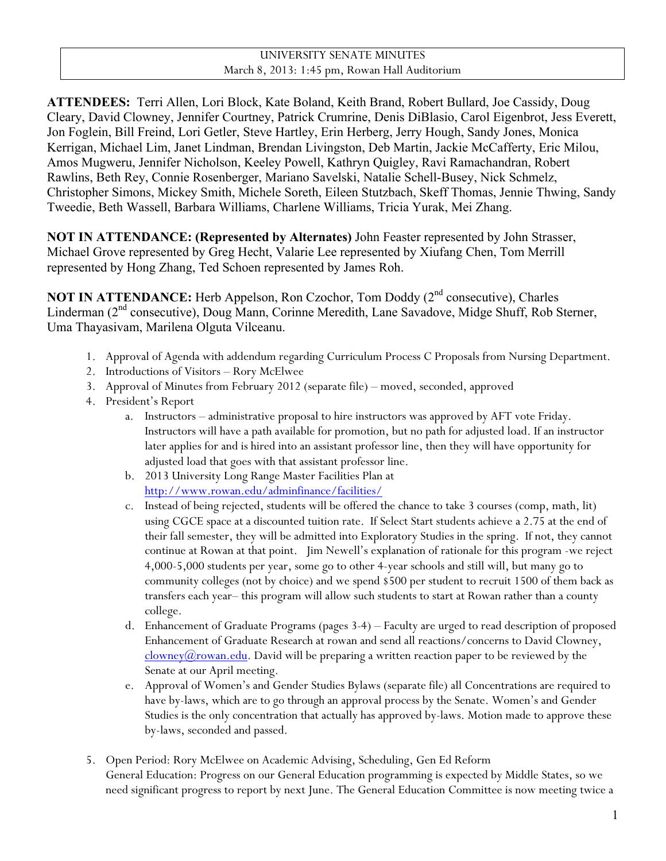# UNIVERSITY SENATE MINUTES March 8, 2013: 1:45 pm, Rowan Hall Auditorium

**ATTENDEES:** Terri Allen, Lori Block, Kate Boland, Keith Brand, Robert Bullard, Joe Cassidy, Doug Cleary, David Clowney, Jennifer Courtney, Patrick Crumrine, Denis DiBlasio, Carol Eigenbrot, Jess Everett, Jon Foglein, Bill Freind, Lori Getler, Steve Hartley, Erin Herberg, Jerry Hough, Sandy Jones, Monica Kerrigan, Michael Lim, Janet Lindman, Brendan Livingston, Deb Martin, Jackie McCafferty, Eric Milou, Amos Mugweru, Jennifer Nicholson, Keeley Powell, Kathryn Quigley, Ravi Ramachandran, Robert Rawlins, Beth Rey, Connie Rosenberger, Mariano Savelski, Natalie Schell-Busey, Nick Schmelz, Christopher Simons, Mickey Smith, Michele Soreth, Eileen Stutzbach, Skeff Thomas, Jennie Thwing, Sandy Tweedie, Beth Wassell, Barbara Williams, Charlene Williams, Tricia Yurak, Mei Zhang.

**NOT IN ATTENDANCE: (Represented by Alternates)** John Feaster represented by John Strasser, Michael Grove represented by Greg Hecht, Valarie Lee represented by Xiufang Chen, Tom Merrill represented by Hong Zhang, Ted Schoen represented by James Roh.

**NOT IN ATTENDANCE:** Herb Appelson, Ron Czochor, Tom Doddy (2<sup>nd</sup> consecutive), Charles Linderman (2<sup>nd</sup> consecutive), Doug Mann, Corinne Meredith, Lane Savadove, Midge Shuff, Rob Sterner, Uma Thayasivam, Marilena Olguta Vilceanu.

- 1. Approval of Agenda with addendum regarding Curriculum Process C Proposals from Nursing Department.
- 2. Introductions of Visitors Rory McElwee
- 3. Approval of Minutes from February 2012 (separate file) moved, seconded, approved
- 4. President's Report
	- a. Instructors administrative proposal to hire instructors was approved by AFT vote Friday. Instructors will have a path available for promotion, but no path for adjusted load. If an instructor later applies for and is hired into an assistant professor line, then they will have opportunity for adjusted load that goes with that assistant professor line.
	- b. 2013 University Long Range Master Facilities Plan at http://www.rowan.edu/adminfinance/facilities/
	- c. Instead of being rejected, students will be offered the chance to take 3 courses (comp, math, lit) using CGCE space at a discounted tuition rate. If Select Start students achieve a 2.75 at the end of their fall semester, they will be admitted into Exploratory Studies in the spring. If not, they cannot continue at Rowan at that point. Jim Newell's explanation of rationale for this program -we reject 4,000-5,000 students per year, some go to other 4-year schools and still will, but many go to community colleges (not by choice) and we spend \$500 per student to recruit 1500 of them back as transfers each year– this program will allow such students to start at Rowan rather than a county college.
	- d. Enhancement of Graduate Programs (pages 3-4) Faculty are urged to read description of proposed Enhancement of Graduate Research at rowan and send all reactions/concerns to David Clowney,  $\frac{\text{clown}(a\text{rowan.edu})}{\text{clown}(a\text{rowan.edu})}$ . David will be preparing a written reaction paper to be reviewed by the Senate at our April meeting.
	- e. Approval of Women's and Gender Studies Bylaws (separate file) all Concentrations are required to have by-laws, which are to go through an approval process by the Senate. Women's and Gender Studies is the only concentration that actually has approved by-laws. Motion made to approve these by-laws, seconded and passed.
- 5. Open Period: Rory McElwee on Academic Advising, Scheduling, Gen Ed Reform General Education: Progress on our General Education programming is expected by Middle States, so we need significant progress to report by next June. The General Education Committee is now meeting twice a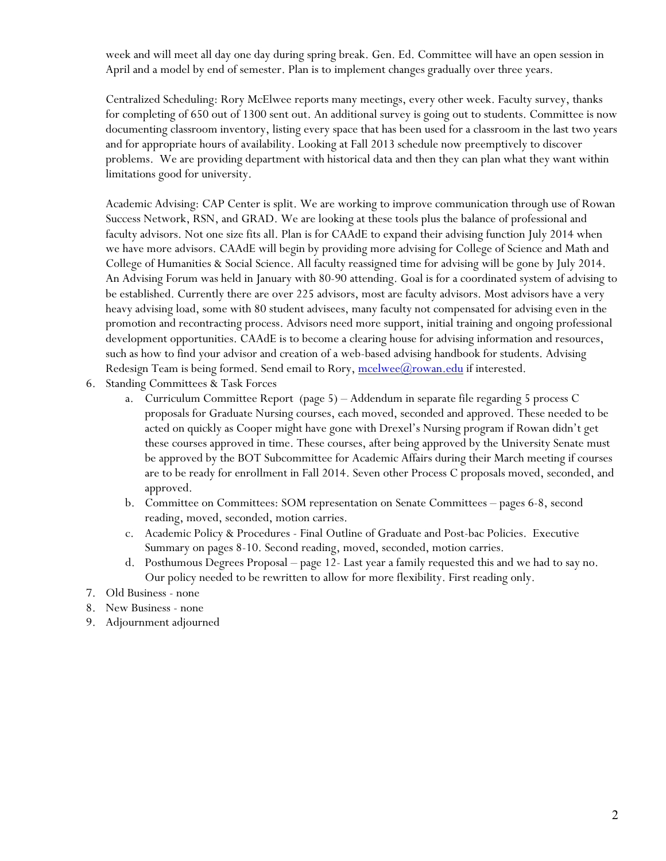week and will meet all day one day during spring break. Gen. Ed. Committee will have an open session in April and a model by end of semester. Plan is to implement changes gradually over three years.

Centralized Scheduling: Rory McElwee reports many meetings, every other week. Faculty survey, thanks for completing of 650 out of 1300 sent out. An additional survey is going out to students. Committee is now documenting classroom inventory, listing every space that has been used for a classroom in the last two years and for appropriate hours of availability. Looking at Fall 2013 schedule now preemptively to discover problems. We are providing department with historical data and then they can plan what they want within limitations good for university.

Academic Advising: CAP Center is split. We are working to improve communication through use of Rowan Success Network, RSN, and GRAD. We are looking at these tools plus the balance of professional and faculty advisors. Not one size fits all. Plan is for CAAdE to expand their advising function July 2014 when we have more advisors. CAAdE will begin by providing more advising for College of Science and Math and College of Humanities & Social Science. All faculty reassigned time for advising will be gone by July 2014. An Advising Forum was held in January with 80-90 attending. Goal is for a coordinated system of advising to be established. Currently there are over 225 advisors, most are faculty advisors. Most advisors have a very heavy advising load, some with 80 student advisees, many faculty not compensated for advising even in the promotion and recontracting process. Advisors need more support, initial training and ongoing professional development opportunities. CAAdE is to become a clearing house for advising information and resources, such as how to find your advisor and creation of a web-based advising handbook for students. Advising Redesign Team is being formed. Send email to Rory,  $\text{mcelwee}(\alpha)$  rowan.edu if interested.

- 6. Standing Committees & Task Forces
	- a. Curriculum Committee Report (page 5) Addendum in separate file regarding 5 process C proposals for Graduate Nursing courses, each moved, seconded and approved. These needed to be acted on quickly as Cooper might have gone with Drexel's Nursing program if Rowan didn't get these courses approved in time. These courses, after being approved by the University Senate must be approved by the BOT Subcommittee for Academic Affairs during their March meeting if courses are to be ready for enrollment in Fall 2014. Seven other Process C proposals moved, seconded, and approved.
	- b. Committee on Committees: SOM representation on Senate Committees pages 6-8, second reading, moved, seconded, motion carries.
	- c. Academic Policy & Procedures Final Outline of Graduate and Post-bac Policies. Executive Summary on pages 8-10. Second reading, moved, seconded, motion carries.
	- d. Posthumous Degrees Proposal page 12- Last year a family requested this and we had to say no. Our policy needed to be rewritten to allow for more flexibility. First reading only.
- 7. Old Business none
- 8. New Business none
- 9. Adjournment adjourned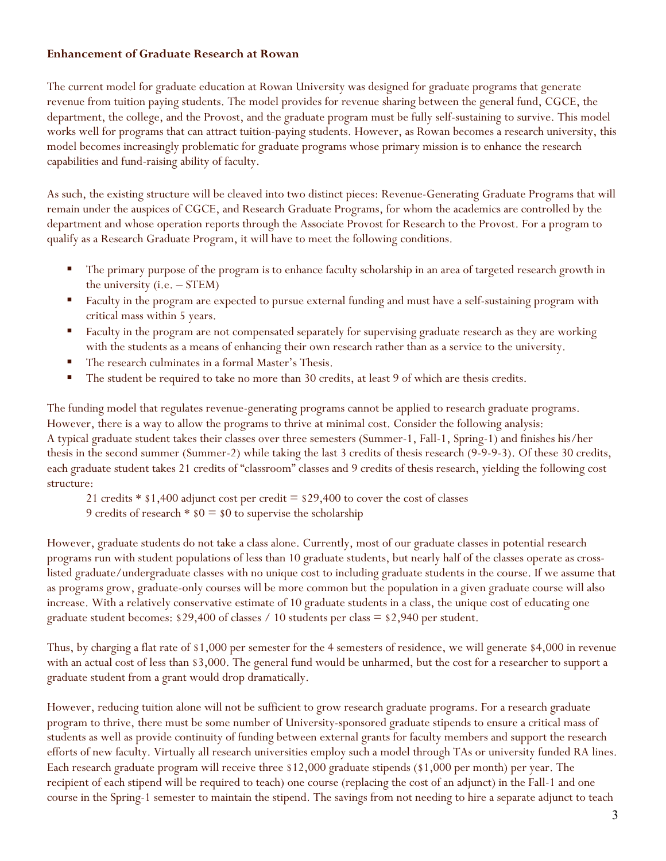#### **Enhancement of Graduate Research at Rowan**

The current model for graduate education at Rowan University was designed for graduate programs that generate revenue from tuition paying students. The model provides for revenue sharing between the general fund, CGCE, the department, the college, and the Provost, and the graduate program must be fully self-sustaining to survive. This model works well for programs that can attract tuition-paying students. However, as Rowan becomes a research university, this model becomes increasingly problematic for graduate programs whose primary mission is to enhance the research capabilities and fund-raising ability of faculty.

As such, the existing structure will be cleaved into two distinct pieces: Revenue-Generating Graduate Programs that will remain under the auspices of CGCE, and Research Graduate Programs, for whom the academics are controlled by the department and whose operation reports through the Associate Provost for Research to the Provost. For a program to qualify as a Research Graduate Program, it will have to meet the following conditions.

- The primary purpose of the program is to enhance faculty scholarship in an area of targeted research growth in the university (i.e. – STEM)
- **Faculty in the program are expected to pursue external funding and must have a self-sustaining program with** critical mass within 5 years.
- **Faculty in the program are not compensated separately for supervising graduate research as they are working** with the students as a means of enhancing their own research rather than as a service to the university.
- The research culminates in a formal Master's Thesis.
- The student be required to take no more than 30 credits, at least 9 of which are thesis credits.

The funding model that regulates revenue-generating programs cannot be applied to research graduate programs. However, there is a way to allow the programs to thrive at minimal cost. Consider the following analysis: A typical graduate student takes their classes over three semesters (Summer-1, Fall-1, Spring-1) and finishes his/her thesis in the second summer (Summer-2) while taking the last 3 credits of thesis research (9-9-9-3). Of these 30 credits, each graduate student takes 21 credits of "classroom" classes and 9 credits of thesis research, yielding the following cost structure:

- 21 credits  $*$  \$1,400 adjunct cost per credit  $=$  \$29,400 to cover the cost of classes
- 9 credits of research  $*$  \$0 = \$0 to supervise the scholarship

However, graduate students do not take a class alone. Currently, most of our graduate classes in potential research programs run with student populations of less than 10 graduate students, but nearly half of the classes operate as crosslisted graduate/undergraduate classes with no unique cost to including graduate students in the course. If we assume that as programs grow, graduate-only courses will be more common but the population in a given graduate course will also increase. With a relatively conservative estimate of 10 graduate students in a class, the unique cost of educating one graduate student becomes: \$29,400 of classes / 10 students per class = \$2,940 per student.

Thus, by charging a flat rate of \$1,000 per semester for the 4 semesters of residence, we will generate \$4,000 in revenue with an actual cost of less than \$3,000. The general fund would be unharmed, but the cost for a researcher to support a graduate student from a grant would drop dramatically.

However, reducing tuition alone will not be sufficient to grow research graduate programs. For a research graduate program to thrive, there must be some number of University-sponsored graduate stipends to ensure a critical mass of students as well as provide continuity of funding between external grants for faculty members and support the research efforts of new faculty. Virtually all research universities employ such a model through TAs or university funded RA lines. Each research graduate program will receive three \$12,000 graduate stipends (\$1,000 per month) per year. The recipient of each stipend will be required to teach) one course (replacing the cost of an adjunct) in the Fall-1 and one course in the Spring-1 semester to maintain the stipend. The savings from not needing to hire a separate adjunct to teach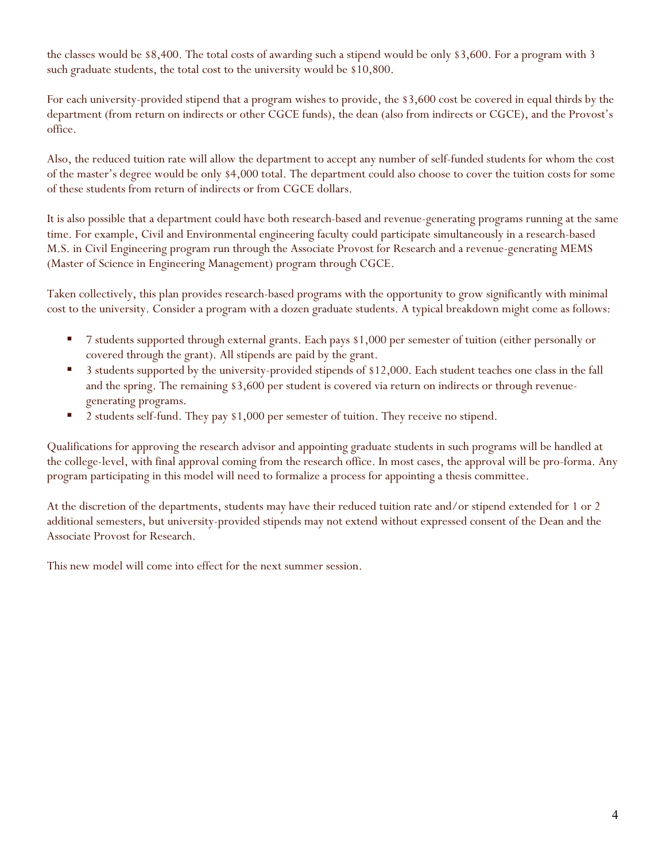the classes would be \$8,400. The total costs of awarding such a stipend would be only \$3,600. For a program with 3 such graduate students, the total cost to the university would be \$10,800.

For each university-provided stipend that a program wishes to provide, the \$3,600 cost be covered in equal thirds by the department (from return on indirects or other CGCE funds), the dean (also from indirects or CGCE), and the Provost's office.

Also, the reduced tuition rate will allow the department to accept any number of self-funded students for whom the cost of the master's degree would be only \$4,000 total. The department could also choose to cover the tuition costs for some of these students from return of indirects or from CGCE dollars.

It is also possible that a department could have both research-based and revenue-generating programs running at the same time. For example, Civil and Environmental engineering faculty could participate simultaneously in a research-based M.S. in Civil Engineering program run through the Associate Provost for Research and a revenue-generating MEMS (Master of Science in Engineering Management) program through CGCE.

Taken collectively, this plan provides research-based programs with the opportunity to grow significantly with minimal cost to the university. Consider a program with a dozen graduate students. A typical breakdown might come as follows:

- 7 students supported through external grants. Each pays \$1,000 per semester of tuition (either personally or covered through the grant). All stipends are paid by the grant.
- <sup>3</sup> 3 students supported by the university-provided stipends of \$12,000. Each student teaches one class in the fall and the spring. The remaining \$3,600 per student is covered via return on indirects or through revenuegenerating programs.
- **2** students self-fund. They pay \$1,000 per semester of tuition. They receive no stipend.

Qualifications for approving the research advisor and appointing graduate students in such programs will be handled at the college-level, with final approval coming from the research office. In most cases, the approval will be pro-forma. Any program participating in this model will need to formalize a process for appointing a thesis committee.

At the discretion of the departments, students may have their reduced tuition rate and/or stipend extended for 1 or 2 additional semesters, but university-provided stipends may not extend without expressed consent of the Dean and the Associate Provost for Research.

This new model will come into effect for the next summer session.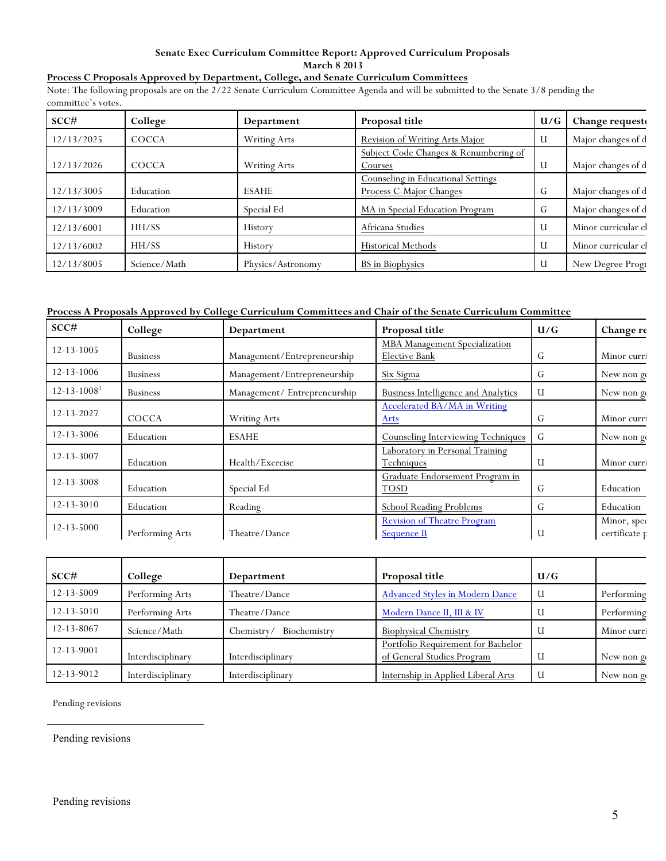#### **Senate Exec Curriculum Committee Report: Approved Curriculum Proposals March 8 2013**

#### **Process C Proposals Approved by Department, College, and Senate Curriculum Committees**

Note: The following proposals are on the 2/22 Senate Curriculum Committee Agenda and will be submitted to the Senate 3/8 pending the committee's votes.

| SCC#       | College      | Department          | Proposal title                                                | U/G | Change request      |
|------------|--------------|---------------------|---------------------------------------------------------------|-----|---------------------|
| 12/13/2025 | <b>COCCA</b> | Writing Arts        | Revision of Writing Arts Major                                | U   | Major changes of d  |
| 12/13/2026 | <b>COCCA</b> | <b>Writing Arts</b> | Subject Code Changes & Renumbering of<br>Courses              | U   | Major changes of d  |
| 12/13/3005 | Education    | <b>ESAHE</b>        | Counseling in Educational Settings<br>Process C-Major Changes | G   | Major changes of d  |
| 12/13/3009 | Education    | Special Ed          | MA in Special Education Program                               | G   | Major changes of d  |
| 12/13/6001 | HH/SS        | History             | Africana Studies                                              | U   | Minor curricular cl |
| 12/13/6002 | HH/SS        | History             | <b>Historical Methods</b>                                     | U   | Minor curricular cl |
| 12/13/8005 | Science/Math | Physics/Astronomy   | <b>BS</b> in Biophysics                                       | U   | New Degree Progr    |

#### **Process A Proposals Approved by College Curriculum Committees and Chair of the Senate Curriculum Committee**

| SCC#                          | College         | Department                   | Proposal title                                        | U/G | Change re                    |
|-------------------------------|-----------------|------------------------------|-------------------------------------------------------|-----|------------------------------|
| 12-13-1005                    | <b>Business</b> | Management/Entrepreneurship  | <b>MBA</b> Management Specialization<br>Elective Bank | G   | Minor curri                  |
| 12-13-1006                    | <b>Business</b> | Management/Entrepreneurship  | Six Sigma                                             | G   | New non go                   |
| $12 - 13 - 1008$ <sup>1</sup> | <b>Business</b> | Management/ Entrepreneurship | <b>Business Intelligence and Analytics</b>            | U   | New non go                   |
| 12-13-2027                    | <b>COCCA</b>    | <b>Writing Arts</b>          | Accelerated BA/MA in Writing<br>Arts                  | G   | Minor curri                  |
| 12-13-3006                    | Education       | <b>ESAHE</b>                 | <b>Counseling Interviewing Techniques</b>             | G   | New non go                   |
| 12-13-3007                    | Education       | Health/Exercise              | Laboratory in Personal Training<br>Techniques         | U   | Minor curri                  |
| 12-13-3008                    | Education       | Special Ed                   | Graduate Endorsement Program in<br><b>TOSD</b>        | G   | Education                    |
| $12 - 13 - 3010$              | Education       | Reading                      | <b>School Reading Problems</b>                        | G   | Education                    |
| 12-13-5000                    | Performing Arts | Theatre/Dance                | Revision of Theatre Program<br><b>Sequence B</b>      | U   | Minor, spec<br>certificate p |

| SCC#             | College           | Department                 | Proposal title                                                   | U/G |             |
|------------------|-------------------|----------------------------|------------------------------------------------------------------|-----|-------------|
| $12 - 13 - 5009$ | Performing Arts   | Theatre/Dance              | <b>Advanced Styles in Modern Dance</b>                           | U   | Performing  |
| $12 - 13 - 5010$ | Performing Arts   | Theatre/Dance              | Modern Dance II, III & IV                                        |     | Performing  |
| 12-13-8067       | Science/Math      | Biochemistry<br>Chemistry/ | <b>Biophysical Chemistry</b>                                     |     | Minor curri |
| 12-13-9001       | Interdisciplinary | Interdisciplinary          | Portfolio Requirement for Bachelor<br>of General Studies Program |     | New non go  |
| 12-13-9012       | Interdisciplinary | Interdisciplinary          | Internship in Applied Liberal Arts                               | U   | New non go  |

Pending revisions

 $\overline{a}$ 

Pending revisions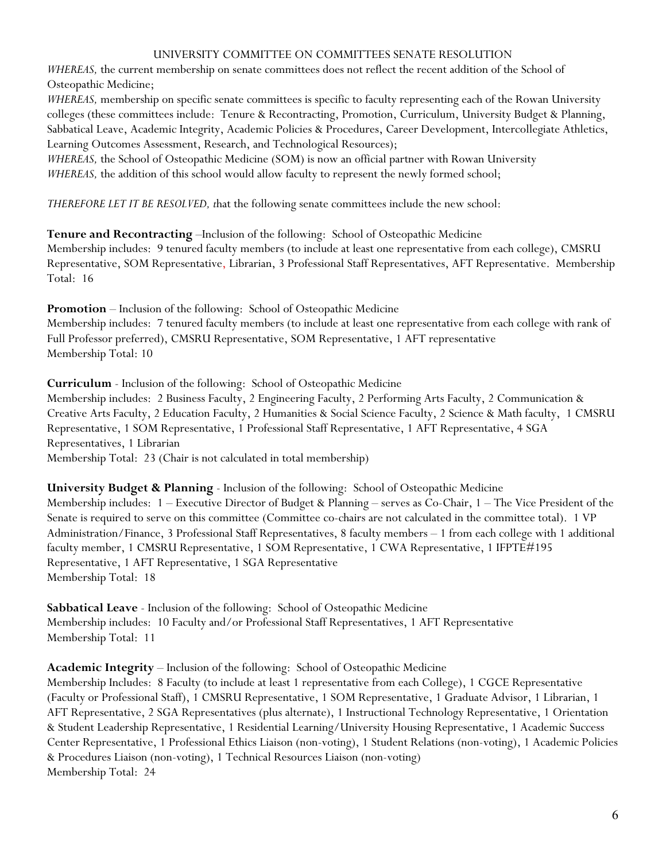#### UNIVERSITY COMMITTEE ON COMMITTEES SENATE RESOLUTION

*WHEREAS*, the current membership on senate committees does not reflect the recent addition of the School of Osteopathic Medicine;

*WHEREAS,* membership on specific senate committees is specific to faculty representing each of the Rowan University colleges (these committees include: Tenure & Recontracting, Promotion, Curriculum, University Budget & Planning, Sabbatical Leave, Academic Integrity, Academic Policies & Procedures, Career Development, Intercollegiate Athletics, Learning Outcomes Assessment, Research, and Technological Resources);

*WHEREAS,* the School of Osteopathic Medicine (SOM) is now an official partner with Rowan University *WHEREAS*, the addition of this school would allow faculty to represent the newly formed school;

*THEREFORE LET IT BE RESOLVED, t*hat the following senate committees include the new school:

**Tenure and Recontracting** –Inclusion of the following: School of Osteopathic Medicine Membership includes: 9 tenured faculty members (to include at least one representative from each college), CMSRU Representative, SOM Representative, Librarian, 3 Professional Staff Representatives, AFT Representative. Membership Total: 16

**Promotion** – Inclusion of the following: School of Osteopathic Medicine Membership includes: 7 tenured faculty members (to include at least one representative from each college with rank of Full Professor preferred), CMSRU Representative, SOM Representative, 1 AFT representative Membership Total: 10

**Curriculum** - Inclusion of the following: School of Osteopathic Medicine

Membership includes: 2 Business Faculty, 2 Engineering Faculty, 2 Performing Arts Faculty, 2 Communication & Creative Arts Faculty, 2 Education Faculty, 2 Humanities & Social Science Faculty, 2 Science & Math faculty, 1 CMSRU Representative, 1 SOM Representative, 1 Professional Staff Representative, 1 AFT Representative, 4 SGA Representatives, 1 Librarian

Membership Total: 23 (Chair is not calculated in total membership)

**University Budget & Planning** - Inclusion of the following: School of Osteopathic Medicine Membership includes: 1 – Executive Director of Budget & Planning – serves as Co-Chair, 1 – The Vice President of the Senate is required to serve on this committee (Committee co-chairs are not calculated in the committee total). 1 VP Administration/Finance, 3 Professional Staff Representatives, 8 faculty members – 1 from each college with 1 additional faculty member, 1 CMSRU Representative, 1 SOM Representative, 1 CWA Representative, 1 IFPTE#195 Representative, 1 AFT Representative, 1 SGA Representative Membership Total: 18

**Sabbatical Leave** - Inclusion of the following: School of Osteopathic Medicine Membership includes: 10 Faculty and/or Professional Staff Representatives, 1 AFT Representative Membership Total: 11

**Academic Integrity** – Inclusion of the following: School of Osteopathic Medicine

Membership Includes: 8 Faculty (to include at least 1 representative from each College), 1 CGCE Representative (Faculty or Professional Staff), 1 CMSRU Representative, 1 SOM Representative, 1 Graduate Advisor, 1 Librarian, 1 AFT Representative, 2 SGA Representatives (plus alternate), 1 Instructional Technology Representative, 1 Orientation & Student Leadership Representative, 1 Residential Learning/University Housing Representative, 1 Academic Success Center Representative, 1 Professional Ethics Liaison (non-voting), 1 Student Relations (non-voting), 1 Academic Policies & Procedures Liaison (non-voting), 1 Technical Resources Liaison (non-voting) Membership Total: 24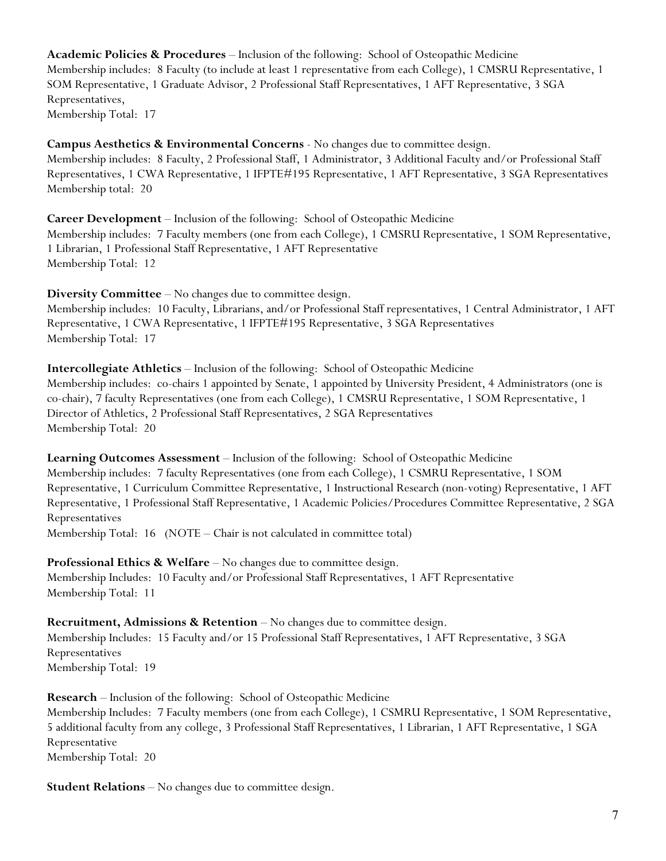**Academic Policies & Procedures** – Inclusion of the following: School of Osteopathic Medicine Membership includes: 8 Faculty (to include at least 1 representative from each College), 1 CMSRU Representative, 1 SOM Representative, 1 Graduate Advisor, 2 Professional Staff Representatives, 1 AFT Representative, 3 SGA Representatives, Membership Total: 17

**Campus Aesthetics & Environmental Concerns** - No changes due to committee design. Membership includes: 8 Faculty, 2 Professional Staff, 1 Administrator, 3 Additional Faculty and/or Professional Staff Representatives, 1 CWA Representative, 1 IFPTE#195 Representative, 1 AFT Representative, 3 SGA Representatives Membership total: 20

**Career Development** – Inclusion of the following: School of Osteopathic Medicine Membership includes: 7 Faculty members (one from each College), 1 CMSRU Representative, 1 SOM Representative, 1 Librarian, 1 Professional Staff Representative, 1 AFT Representative Membership Total: 12

**Diversity Committee** – No changes due to committee design. Membership includes: 10 Faculty, Librarians, and/or Professional Staff representatives, 1 Central Administrator, 1 AFT Representative, 1 CWA Representative, 1 IFPTE#195 Representative, 3 SGA Representatives Membership Total: 17

**Intercollegiate Athletics** – Inclusion of the following: School of Osteopathic Medicine Membership includes: co-chairs 1 appointed by Senate, 1 appointed by University President, 4 Administrators (one is co-chair), 7 faculty Representatives (one from each College), 1 CMSRU Representative, 1 SOM Representative, 1 Director of Athletics, 2 Professional Staff Representatives, 2 SGA Representatives Membership Total: 20

**Learning Outcomes Assessment** – Inclusion of the following: School of Osteopathic Medicine Membership includes: 7 faculty Representatives (one from each College), 1 CSMRU Representative, 1 SOM Representative, 1 Curriculum Committee Representative, 1 Instructional Research (non-voting) Representative, 1 AFT Representative, 1 Professional Staff Representative, 1 Academic Policies/Procedures Committee Representative, 2 SGA Representatives

Membership Total: 16 (NOTE – Chair is not calculated in committee total)

**Professional Ethics & Welfare** – No changes due to committee design. Membership Includes: 10 Faculty and/or Professional Staff Representatives, 1 AFT Representative Membership Total: 11

**Recruitment, Admissions & Retention** – No changes due to committee design. Membership Includes: 15 Faculty and/or 15 Professional Staff Representatives, 1 AFT Representative, 3 SGA Representatives Membership Total: 19

**Research** – Inclusion of the following: School of Osteopathic Medicine Membership Includes: 7 Faculty members (one from each College), 1 CSMRU Representative, 1 SOM Representative, 5 additional faculty from any college, 3 Professional Staff Representatives, 1 Librarian, 1 AFT Representative, 1 SGA Representative Membership Total: 20

**Student Relations** – No changes due to committee design.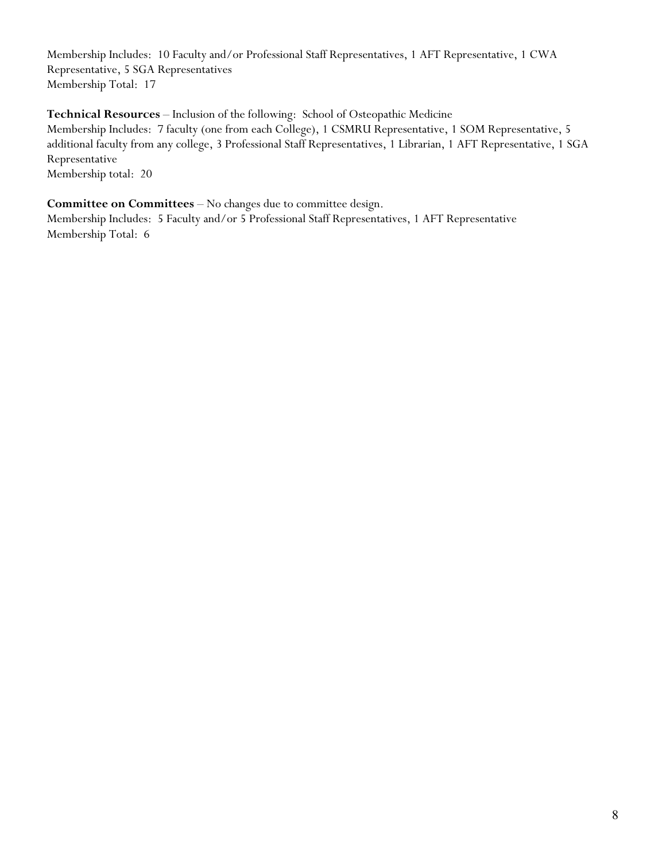Membership Includes: 10 Faculty and/or Professional Staff Representatives, 1 AFT Representative, 1 CWA Representative, 5 SGA Representatives Membership Total: 17

**Technical Resources** – Inclusion of the following: School of Osteopathic Medicine

Membership Includes: 7 faculty (one from each College), 1 CSMRU Representative, 1 SOM Representative, 5 additional faculty from any college, 3 Professional Staff Representatives, 1 Librarian, 1 AFT Representative, 1 SGA Representative

Membership total: 20

### **Committee on Committees** – No changes due to committee design.

Membership Includes: 5 Faculty and/or 5 Professional Staff Representatives, 1 AFT Representative Membership Total: 6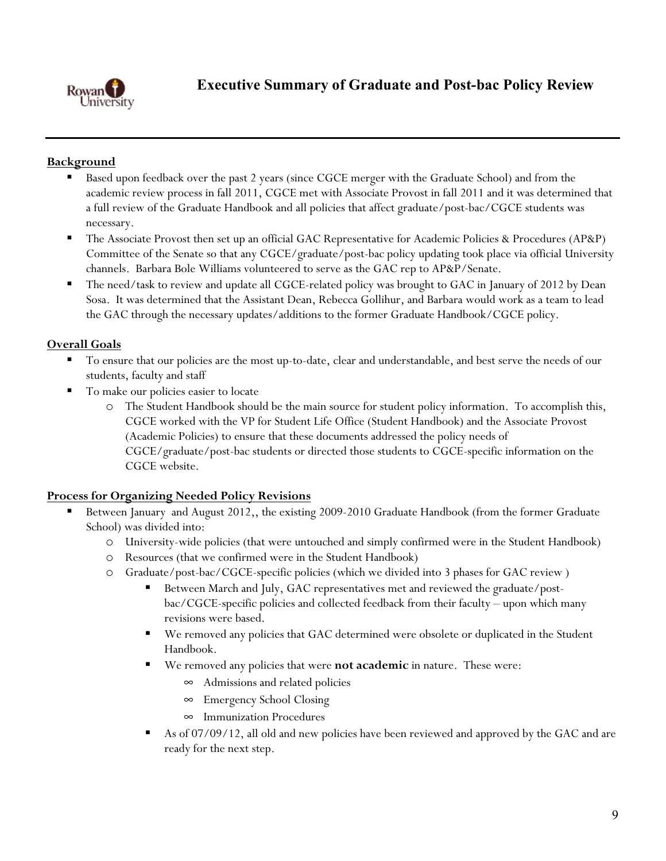

# **Background**

- Based upon feedback over the past 2 years (since CGCE merger with the Graduate School) and from the academic review process in fall 2011, CGCE met with Associate Provost in fall 2011 and it was determined that a full review of the Graduate Handbook and all policies that affect graduate/post-bac/CGCE students was necessary.
- The Associate Provost then set up an official GAC Representative for Academic Policies & Procedures (AP&P) Committee of the Senate so that any CGCE/graduate/post-bac policy updating took place via official University channels. Barbara Bole Williams volunteered to serve as the GAC rep to AP&P/Senate.
- The need/task to review and update all CGCE-related policy was brought to GAC in January of 2012 by Dean Sosa. It was determined that the Assistant Dean, Rebecca Gollihur, and Barbara would work as a team to lead the GAC through the necessary updates/additions to the former Graduate Handbook/CGCE policy.

# **Overall Goals**

- To ensure that our policies are the most up-to-date, clear and understandable, and best serve the needs of our students, faculty and staff
- To make our policies easier to locate
	- o The Student Handbook should be the main source for student policy information. To accomplish this, CGCE worked with the VP for Student Life Office (Student Handbook) and the Associate Provost (Academic Policies) to ensure that these documents addressed the policy needs of CGCE/graduate/post-bac students or directed those students to CGCE-specific information on the CGCE website.

# **Process for Organizing Needed Policy Revisions**

- Between January and August 2012,, the existing 2009-2010 Graduate Handbook (from the former Graduate School) was divided into:
	- o University-wide policies (that were untouched and simply confirmed were in the Student Handbook)
	- o Resources (that we confirmed were in the Student Handbook)
	- o Graduate/post-bac/CGCE-specific policies (which we divided into 3 phases for GAC review )
		- Between March and July, GAC representatives met and reviewed the graduate/postbac/CGCE-specific policies and collected feedback from their faculty – upon which many revisions were based.
		- We removed any policies that GAC determined were obsolete or duplicated in the Student Handbook.
		- We removed any policies that were **not academic** in nature. These were:
			- $\infty$  Admissions and related policies
			- $\infty$  Emergency School Closing
			- $\infty$  Immunization Procedures
		- As of 07/09/12, all old and new policies have been reviewed and approved by the GAC and are ready for the next step.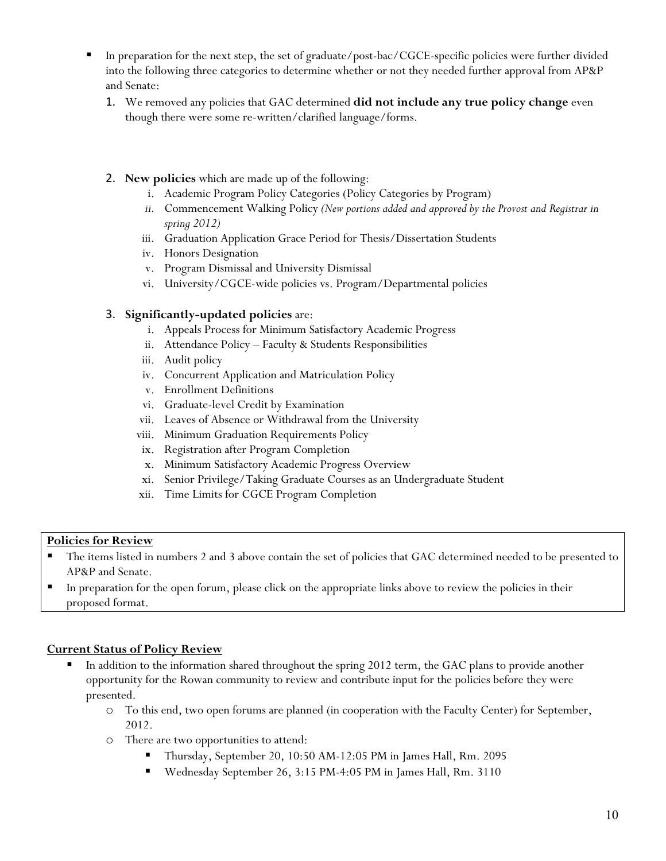- In preparation for the next step, the set of graduate/post-bac/CGCE-specific policies were further divided into the following three categories to determine whether or not they needed further approval from AP&P and Senate:
	- 1. We removed any policies that GAC determined **did not include any true policy change** even though there were some re-written/clarified language/forms.
	- 2. **New policies** which are made up of the following:
		- i. Academic Program Policy Categories (Policy Categories by Program)
		- *ii.* Commencement Walking Policy *(New portions added and approved by the Provost and Registrar in spring 2012)*
		- iii. Graduation Application Grace Period for Thesis/Dissertation Students
		- iv. Honors Designation
		- v. Program Dismissal and University Dismissal
		- vi. University/CGCE-wide policies vs. Program/Departmental policies

## 3. **Significantly-updated policies** are:

- i. Appeals Process for Minimum Satisfactory Academic Progress
- ii. Attendance Policy Faculty & Students Responsibilities
- iii. Audit policy
- iv. Concurrent Application and Matriculation Policy
- v. Enrollment Definitions
- vi. Graduate-level Credit by Examination
- vii. Leaves of Absence or Withdrawal from the University
- viii. Minimum Graduation Requirements Policy
- ix. Registration after Program Completion
- x. Minimum Satisfactory Academic Progress Overview
- xi. Senior Privilege/Taking Graduate Courses as an Undergraduate Student
- xii. Time Limits for CGCE Program Completion

## **Policies for Review**

- The items listed in numbers 2 and 3 above contain the set of policies that GAC determined needed to be presented to AP&P and Senate.
- In preparation for the open forum, please click on the appropriate links above to review the policies in their proposed format.

## **Current Status of Policy Review**

- In addition to the information shared throughout the spring 2012 term, the GAC plans to provide another opportunity for the Rowan community to review and contribute input for the policies before they were presented.
	- o To this end, two open forums are planned (in cooperation with the Faculty Center) for September, 2012.
	- o There are two opportunities to attend:
		- Thursday, September 20, 10:50 AM-12:05 PM in James Hall, Rm. 2095
		- Wednesday September 26, 3:15 PM-4:05 PM in James Hall, Rm. 3110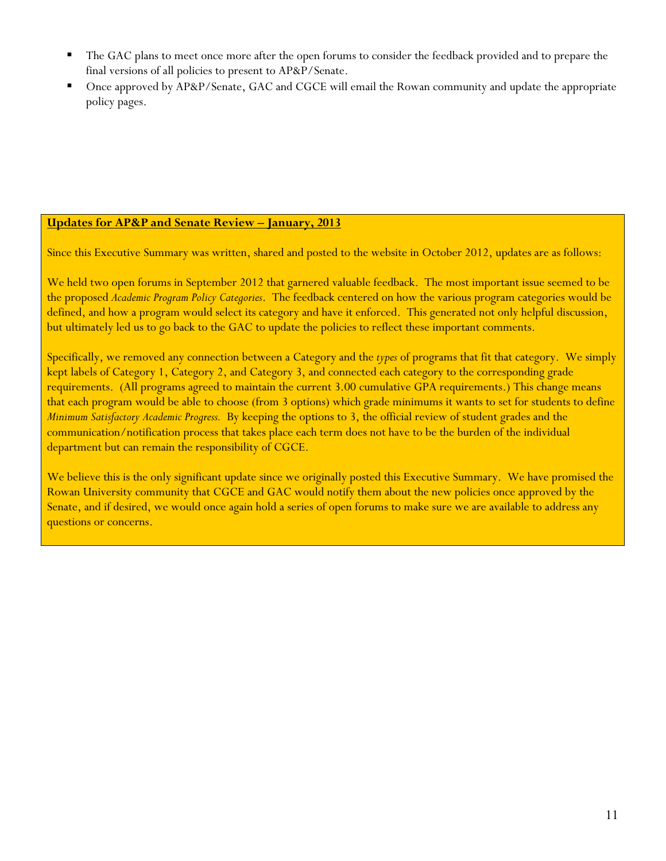- The GAC plans to meet once more after the open forums to consider the feedback provided and to prepare the final versions of all policies to present to AP&P/Senate.
- Once approved by AP&P/Senate, GAC and CGCE will email the Rowan community and update the appropriate policy pages.

## **Updates for AP&P and Senate Review – January, 2013**

Since this Executive Summary was written, shared and posted to the website in October 2012, updates are as follows:

We held two open forums in September 2012 that garnered valuable feedback. The most important issue seemed to be the proposed *Academic Program Policy Categories*. The feedback centered on how the various program categories would be defined, and how a program would select its category and have it enforced. This generated not only helpful discussion, but ultimately led us to go back to the GAC to update the policies to reflect these important comments.

Specifically, we removed any connection between a Category and the *types* of programs that fit that category. We simply kept labels of Category 1, Category 2, and Category 3, and connected each category to the corresponding grade requirements. (All programs agreed to maintain the current 3.00 cumulative GPA requirements.) This change means that each program would be able to choose (from 3 options) which grade minimums it wants to set for students to define *Minimum Satisfactory Academic Progress.* By keeping the options to 3, the official review of student grades and the communication/notification process that takes place each term does not have to be the burden of the individual department but can remain the responsibility of CGCE.

We believe this is the only significant update since we originally posted this Executive Summary. We have promised the Rowan University community that CGCE and GAC would notify them about the new policies once approved by the Senate, and if desired, we would once again hold a series of open forums to make sure we are available to address any questions or concerns.